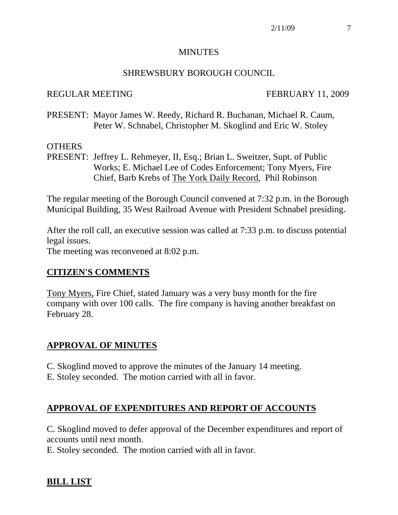#### **MINUTES**

#### SHREWSBURY BOROUGH COUNCIL

#### REGULAR MEETING FEBRUARY 11, 2009

PRESENT: Mayor James W. Reedy, Richard R. Buchanan, Michael R. Caum, Peter W. Schnabel, Christopher M. Skoglind and Eric W. Stoley

#### **OTHERS**

PRESENT: Jeffrey L. Rehmeyer, II, Esq.; Brian L. Sweitzer, Supt. of Public Works; E. Michael Lee of Codes Enforcement; Tony Myers, Fire Chief, Barb Krebs of The York Daily Record, Phil Robinson

The regular meeting of the Borough Council convened at 7:32 p.m. in the Borough Municipal Building, 35 West Railroad Avenue with President Schnabel presiding.

After the roll call, an executive session was called at 7:33 p.m. to discuss potential legal issues.

The meeting was reconvened at 8:02 p.m.

#### **CITIZEN'S COMMENTS**

Tony Myers, Fire Chief, stated January was a very busy month for the fire company with over 100 calls. The fire company is having another breakfast on February 28.

#### **APPROVAL OF MINUTES**

- C. Skoglind moved to approve the minutes of the January 14 meeting.
- E. Stoley seconded. The motion carried with all in favor.

#### **APPROVAL OF EXPENDITURES AND REPORT OF ACCOUNTS**

C. Skoglind moved to defer approval of the December expenditures and report of accounts until next month.

E. Stoley seconded. The motion carried with all in favor.

## **BILL LIST**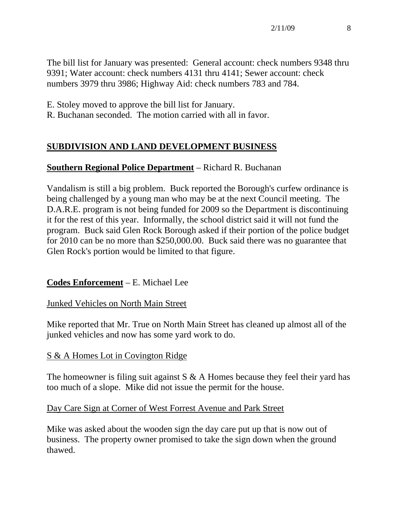The bill list for January was presented: General account: check numbers 9348 thru 9391; Water account: check numbers 4131 thru 4141; Sewer account: check numbers 3979 thru 3986; Highway Aid: check numbers 783 and 784.

- E. Stoley moved to approve the bill list for January.
- R. Buchanan seconded. The motion carried with all in favor.

# **SUBDIVISION AND LAND DEVELOPMENT BUSINESS**

## **Southern Regional Police Department** – Richard R. Buchanan

Vandalism is still a big problem. Buck reported the Borough's curfew ordinance is being challenged by a young man who may be at the next Council meeting. The D.A.R.E. program is not being funded for 2009 so the Department is discontinuing it for the rest of this year. Informally, the school district said it will not fund the program. Buck said Glen Rock Borough asked if their portion of the police budget for 2010 can be no more than \$250,000.00. Buck said there was no guarantee that Glen Rock's portion would be limited to that figure.

## **Codes Enforcement** – E. Michael Lee

## Junked Vehicles on North Main Street

Mike reported that Mr. True on North Main Street has cleaned up almost all of the junked vehicles and now has some yard work to do.

## S & A Homes Lot in Covington Ridge

The homeowner is filing suit against  $S \& A$  Homes because they feel their yard has too much of a slope. Mike did not issue the permit for the house.

#### Day Care Sign at Corner of West Forrest Avenue and Park Street

Mike was asked about the wooden sign the day care put up that is now out of business. The property owner promised to take the sign down when the ground thawed.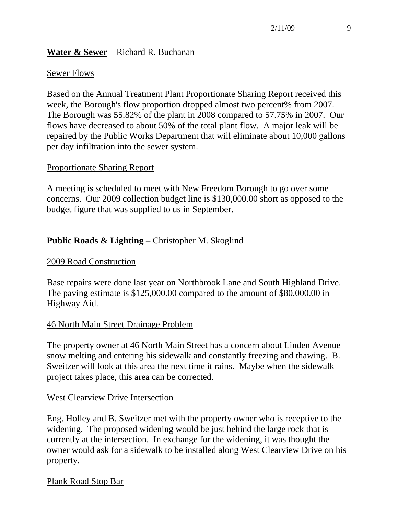#### **Water & Sewer** – Richard R. Buchanan

#### Sewer Flows

Based on the Annual Treatment Plant Proportionate Sharing Report received this week, the Borough's flow proportion dropped almost two percent% from 2007. The Borough was 55.82% of the plant in 2008 compared to 57.75% in 2007. Our flows have decreased to about 50% of the total plant flow. A major leak will be repaired by the Public Works Department that will eliminate about 10,000 gallons per day infiltration into the sewer system.

#### Proportionate Sharing Report

A meeting is scheduled to meet with New Freedom Borough to go over some concerns. Our 2009 collection budget line is \$130,000.00 short as opposed to the budget figure that was supplied to us in September.

## **Public Roads & Lighting** – Christopher M. Skoglind

#### 2009 Road Construction

Base repairs were done last year on Northbrook Lane and South Highland Drive. The paving estimate is \$125,000.00 compared to the amount of \$80,000.00 in Highway Aid.

#### 46 North Main Street Drainage Problem

The property owner at 46 North Main Street has a concern about Linden Avenue snow melting and entering his sidewalk and constantly freezing and thawing. B. Sweitzer will look at this area the next time it rains. Maybe when the sidewalk project takes place, this area can be corrected.

#### West Clearview Drive Intersection

Eng. Holley and B. Sweitzer met with the property owner who is receptive to the widening. The proposed widening would be just behind the large rock that is currently at the intersection. In exchange for the widening, it was thought the owner would ask for a sidewalk to be installed along West Clearview Drive on his property.

#### Plank Road Stop Bar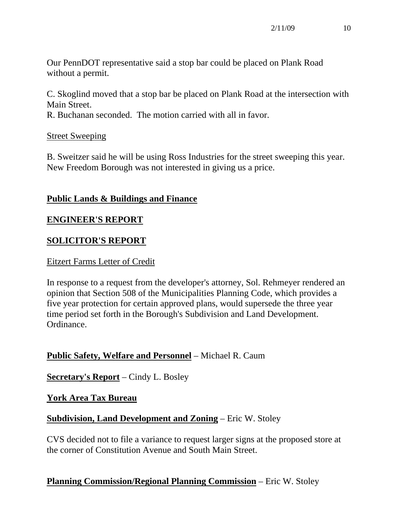Our PennDOT representative said a stop bar could be placed on Plank Road without a permit.

C. Skoglind moved that a stop bar be placed on Plank Road at the intersection with Main Street.

R. Buchanan seconded. The motion carried with all in favor.

## Street Sweeping

B. Sweitzer said he will be using Ross Industries for the street sweeping this year. New Freedom Borough was not interested in giving us a price.

## **Public Lands & Buildings and Finance**

## **ENGINEER'S REPORT**

## **SOLICITOR'S REPORT**

#### Eitzert Farms Letter of Credit

In response to a request from the developer's attorney, Sol. Rehmeyer rendered an opinion that Section 508 of the Municipalities Planning Code, which provides a five year protection for certain approved plans, would supersede the three year time period set forth in the Borough's Subdivision and Land Development. Ordinance.

## **Public Safety, Welfare and Personnel** – Michael R. Caum

## **Secretary's Report** – Cindy L. Bosley

#### **York Area Tax Bureau**

## **Subdivision, Land Development and Zoning** – Eric W. Stoley

CVS decided not to file a variance to request larger signs at the proposed store at the corner of Constitution Avenue and South Main Street.

## **Planning Commission/Regional Planning Commission** – Eric W. Stoley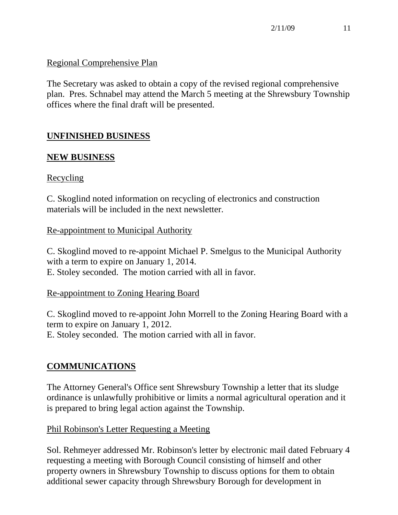## Regional Comprehensive Plan

The Secretary was asked to obtain a copy of the revised regional comprehensive plan. Pres. Schnabel may attend the March 5 meeting at the Shrewsbury Township offices where the final draft will be presented.

# **UNFINISHED BUSINESS**

## **NEW BUSINESS**

## **Recycling**

C. Skoglind noted information on recycling of electronics and construction materials will be included in the next newsletter.

## Re-appointment to Municipal Authority

C. Skoglind moved to re-appoint Michael P. Smelgus to the Municipal Authority with a term to expire on January 1, 2014. E. Stoley seconded. The motion carried with all in favor.

#### Re-appointment to Zoning Hearing Board

C. Skoglind moved to re-appoint John Morrell to the Zoning Hearing Board with a term to expire on January 1, 2012. E. Stoley seconded. The motion carried with all in favor.

# **COMMUNICATIONS**

The Attorney General's Office sent Shrewsbury Township a letter that its sludge ordinance is unlawfully prohibitive or limits a normal agricultural operation and it is prepared to bring legal action against the Township.

## Phil Robinson's Letter Requesting a Meeting

Sol. Rehmeyer addressed Mr. Robinson's letter by electronic mail dated February 4 requesting a meeting with Borough Council consisting of himself and other property owners in Shrewsbury Township to discuss options for them to obtain additional sewer capacity through Shrewsbury Borough for development in